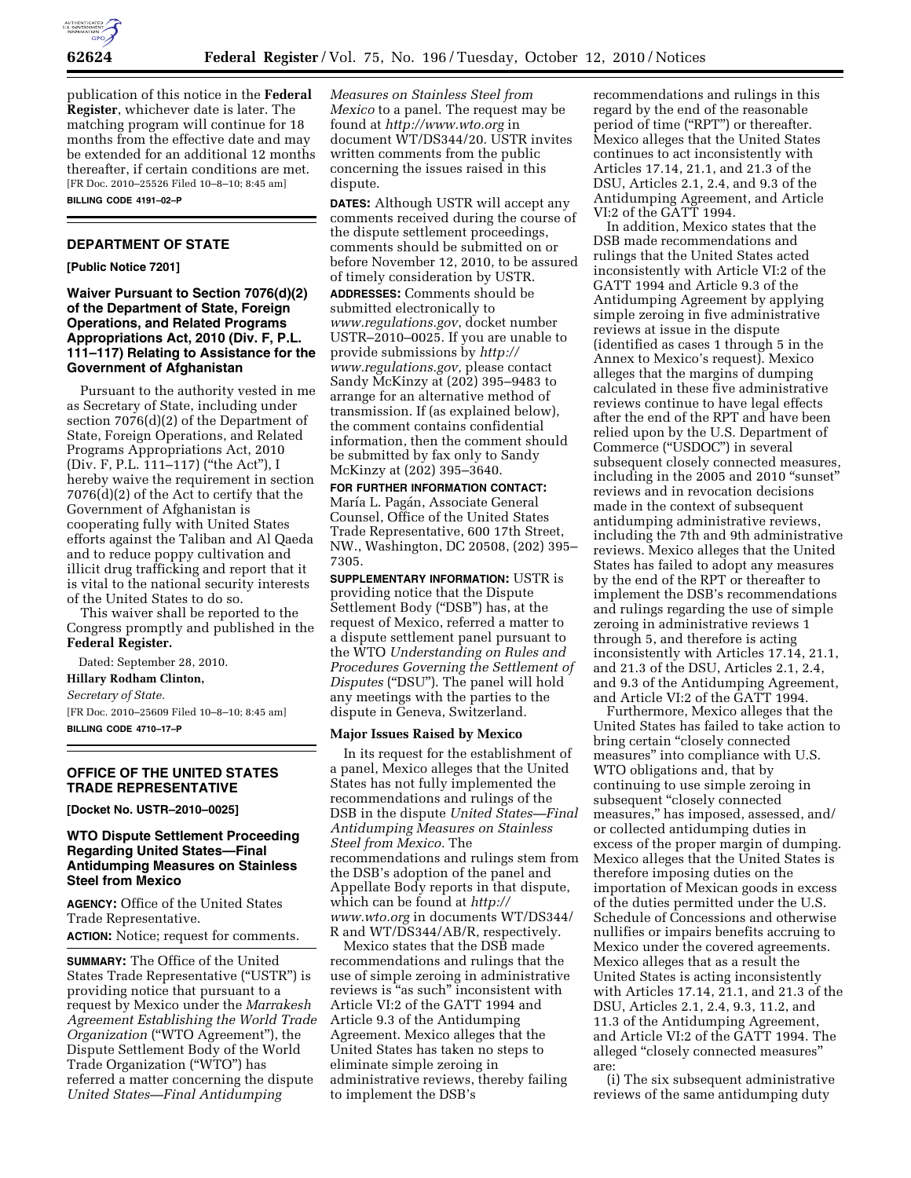

publication of this notice in the **Federal Register**, whichever date is later. The matching program will continue for 18 months from the effective date and may be extended for an additional 12 months thereafter, if certain conditions are met. [FR Doc. 2010–25526 Filed 10–8–10; 8:45 am] **BILLING CODE 4191–02–P** 

# **DEPARTMENT OF STATE**

**[Public Notice 7201]** 

## **Waiver Pursuant to Section 7076(d)(2) of the Department of State, Foreign Operations, and Related Programs Appropriations Act, 2010 (Div. F, P.L. 111–117) Relating to Assistance for the Government of Afghanistan**

Pursuant to the authority vested in me as Secretary of State, including under section 7076(d)(2) of the Department of State, Foreign Operations, and Related Programs Appropriations Act, 2010 (Div. F, P.L. 111–117) (''the Act''), I hereby waive the requirement in section 7076(d)(2) of the Act to certify that the Government of Afghanistan is cooperating fully with United States efforts against the Taliban and Al Qaeda and to reduce poppy cultivation and illicit drug trafficking and report that it is vital to the national security interests of the United States to do so.

This waiver shall be reported to the Congress promptly and published in the **Federal Register.** 

Dated: September 28, 2010. **Hillary Rodham Clinton,** 

*Secretary of State.* 

[FR Doc. 2010–25609 Filed 10–8–10; 8:45 am] **BILLING CODE 4710–17–P** 

#### **OFFICE OF THE UNITED STATES TRADE REPRESENTATIVE**

**[Docket No. USTR–2010–0025]** 

#### **WTO Dispute Settlement Proceeding Regarding United States—Final Antidumping Measures on Stainless Steel from Mexico**

**AGENCY:** Office of the United States Trade Representative. **ACTION:** Notice; request for comments.

**SUMMARY:** The Office of the United States Trade Representative (''USTR'') is providing notice that pursuant to a request by Mexico under the *Marrakesh Agreement Establishing the World Trade Organization* (''WTO Agreement''), the Dispute Settlement Body of the World Trade Organization (''WTO'') has referred a matter concerning the dispute *United States—Final Antidumping* 

*Measures on Stainless Steel from Mexico* to a panel. The request may be found at *<http://www.wto.org>*in document WT/DS344/20. USTR invites written comments from the public concerning the issues raised in this dispute.

**DATES:** Although USTR will accept any comments received during the course of the dispute settlement proceedings, comments should be submitted on or before November 12, 2010, to be assured of timely consideration by USTR. **ADDRESSES:** Comments should be submitted electronically to *[www.regulations.gov](http://www.regulations.gov)*, docket number USTR–2010–0025. If you are unable to provide submissions by *[http://](http://www.regulations.gov)  [www.regulations.gov,](http://www.regulations.gov)* please contact Sandy McKinzy at (202) 395–9483 to arrange for an alternative method of transmission. If (as explained below), the comment contains confidential information, then the comment should be submitted by fax only to Sandy McKinzy at (202) 395–3640.

**FOR FURTHER INFORMATION CONTACT:**  María L. Pagán, Associate General Counsel, Office of the United States Trade Representative, 600 17th Street, NW., Washington, DC 20508, (202) 395– 7305.

**SUPPLEMENTARY INFORMATION:** USTR is providing notice that the Dispute Settlement Body (''DSB'') has, at the request of Mexico, referred a matter to a dispute settlement panel pursuant to the WTO *Understanding on Rules and Procedures Governing the Settlement of Disputes* ("DSU"). The panel will hold any meetings with the parties to the dispute in Geneva, Switzerland.

#### **Major Issues Raised by Mexico**

In its request for the establishment of a panel, Mexico alleges that the United States has not fully implemented the recommendations and rulings of the DSB in the dispute *United States—Final Antidumping Measures on Stainless Steel from Mexico.* The recommendations and rulings stem from the DSB's adoption of the panel and Appellate Body reports in that dispute, which can be found at *[http://](http://www.wto.org)  [www.wto.org](http://www.wto.org)* in documents WT/DS344/ R and WT/DS344/AB/R, respectively.

Mexico states that the DSB made recommendations and rulings that the use of simple zeroing in administrative reviews is "as such" inconsistent with Article VI:2 of the GATT 1994 and Article 9.3 of the Antidumping Agreement. Mexico alleges that the United States has taken no steps to eliminate simple zeroing in administrative reviews, thereby failing to implement the DSB's

recommendations and rulings in this regard by the end of the reasonable period of time (''RPT'') or thereafter. Mexico alleges that the United States continues to act inconsistently with Articles 17.14, 21.1, and 21.3 of the DSU, Articles 2.1, 2.4, and 9.3 of the Antidumping Agreement, and Article VI:2 of the GATT 1994.

In addition, Mexico states that the DSB made recommendations and rulings that the United States acted inconsistently with Article VI:2 of the GATT 1994 and Article 9.3 of the Antidumping Agreement by applying simple zeroing in five administrative reviews at issue in the dispute (identified as cases 1 through 5 in the Annex to Mexico's request). Mexico alleges that the margins of dumping calculated in these five administrative reviews continue to have legal effects after the end of the RPT and have been relied upon by the U.S. Department of Commerce (''USDOC'') in several subsequent closely connected measures, including in the 2005 and 2010 ''sunset'' reviews and in revocation decisions made in the context of subsequent antidumping administrative reviews, including the 7th and 9th administrative reviews. Mexico alleges that the United States has failed to adopt any measures by the end of the RPT or thereafter to implement the DSB's recommendations and rulings regarding the use of simple zeroing in administrative reviews 1 through 5, and therefore is acting inconsistently with Articles 17.14, 21.1, and 21.3 of the DSU, Articles 2.1, 2.4, and 9.3 of the Antidumping Agreement, and Article VI:2 of the GATT 1994.

Furthermore, Mexico alleges that the United States has failed to take action to bring certain ''closely connected measures'' into compliance with U.S. WTO obligations and, that by continuing to use simple zeroing in subsequent "closely connected measures,'' has imposed, assessed, and/ or collected antidumping duties in excess of the proper margin of dumping. Mexico alleges that the United States is therefore imposing duties on the importation of Mexican goods in excess of the duties permitted under the U.S. Schedule of Concessions and otherwise nullifies or impairs benefits accruing to Mexico under the covered agreements. Mexico alleges that as a result the United States is acting inconsistently with Articles 17.14, 21.1, and 21.3 of the DSU, Articles 2.1, 2.4, 9.3, 11.2, and 11.3 of the Antidumping Agreement, and Article VI:2 of the GATT 1994. The alleged ''closely connected measures'' are:

(i) The six subsequent administrative reviews of the same antidumping duty